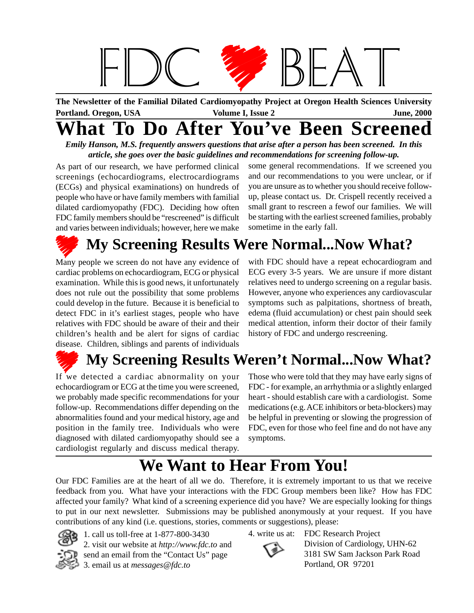

**The Newsletter of the Familial Dilated Cardiomyopathy Project at Oregon Health Sciences University Portland. Oregon, USA June, 2000 Volume I, Issue 2**

# **What To Do After You've Been Screened**

*Emily Hanson, M.S. frequently answers questions that arise after a person has been screened. In this article, she goes over the basic guidelines and recommendations for screening follow-up.*

As part of our research, we have performed clinical screenings (echocardiograms, electrocardiograms (ECGs) and physical examinations) on hundreds of people who have or have family members with familial dilated cardiomyopathy (FDC). Deciding how often FDC family members should be "rescreened" is difficult and varies between individuals; however, here we make

some general recommendations. If we screened you and our recommendations to you were unclear, or if you are unsure as to whether you should receive followup, please contact us. Dr. Crispell recently received a small grant to rescreen a fewof our families. We will be starting with the earliest screened families, probably sometime in the early fall.

# **My Screening Results Were Normal...Now What?**

Many people we screen do not have any evidence of cardiac problems on echocardiogram, ECG or physical examination. While this is good news, it unfortunately does not rule out the possibility that some problems could develop in the future. Because it is beneficial to detect FDC in it's earliest stages, people who have relatives with FDC should be aware of their and their children's health and be alert for signs of cardiac disease. Children, siblings and parents of individuals

with FDC should have a repeat echocardiogram and ECG every 3-5 years. We are unsure if more distant relatives need to undergo screening on a regular basis. However, anyone who experiences any cardiovascular symptoms such as palpitations, shortness of breath, edema (fluid accumulation) or chest pain should seek medical attention, inform their doctor of their family history of FDC and undergo rescreening.

# **My Screening Results Weren't Normal...Now What?**

If we detected a cardiac abnormality on your echocardiogram or ECG at the time you were screened, we probably made specific recommendations for your follow-up. Recommendations differ depending on the abnormalities found and your medical history, age and position in the family tree. Individuals who were diagnosed with dilated cardiomyopathy should see a cardiologist regularly and discuss medical therapy.

Those who were told that they may have early signs of FDC - for example, an arrhythmia or a slightly enlarged heart - should establish care with a cardiologist. Some medications (e.g. ACE inhibitors or beta-blockers) may be helpful in preventing or slowing the progression of FDC, even for those who feel fine and do not have any symptoms.

# **We Want to Hear From You!**

Our FDC Families are at the heart of all we do. Therefore, it is extremely important to us that we receive feedback from you. What have your interactions with the FDC Group members been like? How has FDC affected your family? What kind of a screening experience did you have? We are especially looking for things to put in our next newsletter. Submissions may be published anonymously at your request. If you have contributions of any kind (i.e. questions, stories, comments or suggestions), please:



1. call us toll-free at 1-877-800-3430 2. visit our website at *http://www.fdc.to* and send an email from the "Contact Us" page 3. email us at *messages@fdc.to*

4. write us at: FDC Research Project



Division of Cardiology, UHN-62 3181 SW Sam Jackson Park Road Portland, OR 97201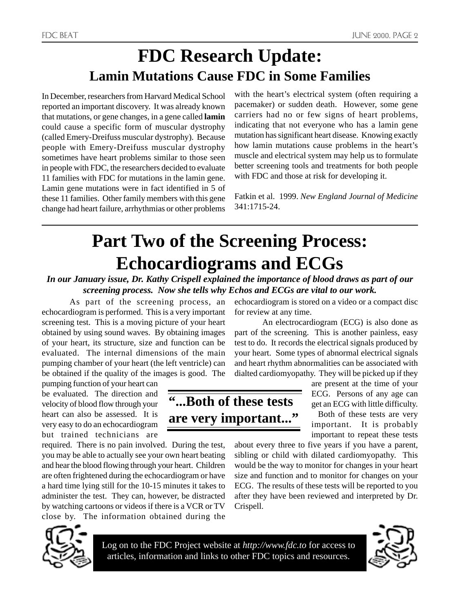### **FDC Research Update: Lamin Mutations Cause FDC in Some Families**

In December, researchers from Harvard Medical School reported an important discovery. It was already known that mutations, or gene changes, in a gene called **lamin** could cause a specific form of muscular dystrophy (called Emery-Dreifuss muscular dystrophy). Because people with Emery-Dreifuss muscular dystrophy sometimes have heart problems similar to those seen in people with FDC, the researchers decided to evaluate 11 families with FDC for mutations in the lamin gene. Lamin gene mutations were in fact identified in 5 of these 11 families. Other family members with this gene change had heart failure, arrhythmias or other problems

with the heart's electrical system (often requiring a pacemaker) or sudden death. However, some gene carriers had no or few signs of heart problems, indicating that not everyone who has a lamin gene mutation has significant heart disease. Knowing exactly how lamin mutations cause problems in the heart's muscle and electrical system may help us to formulate better screening tools and treatments for both people with FDC and those at risk for developing it.

Fatkin et al. 1999. *New England Journal of Medicine* 341:1715-24.

# **Part Two of the Screening Process: Echocardiograms and ECGs**

*In our January issue, Dr. Kathy Crispell explained the importance of blood draws as part of our screening process. Now she tells why Echos and ECGs are vital to our work.*

**"...Both of these tests**

**are very important..."**

As part of the screening process, an echocardiogram is performed. This is a very important screening test. This is a moving picture of your heart obtained by using sound waves. By obtaining images of your heart, its structure, size and function can be evaluated. The internal dimensions of the main pumping chamber of your heart (the left ventricle) can be obtained if the quality of the images is good. The

pumping function of your heart can be evaluated. The direction and velocity of blood flow through your heart can also be assessed. It is very easy to do an echocardiogram but trained technicians are

required. There is no pain involved. During the test, you may be able to actually see your own heart beating and hear the blood flowing through your heart. Children are often frightened during the echocardiogram or have a hard time lying still for the 10-15 minutes it takes to administer the test. They can, however, be distracted by watching cartoons or videos if there is a VCR or TV close by. The information obtained during the



Log on to the FDC Project website at *http://www.fdc.to* for access to articles, information and links to other FDC topics and resources.

echocardiogram is stored on a video or a compact disc for review at any time.

An electrocardiogram (ECG) is also done as part of the screening. This is another painless, easy test to do. It records the electrical signals produced by your heart. Some types of abnormal electrical signals and heart rhythm abnormalities can be associated with dialted cardiomyopathy. They will be picked up if they

> are present at the time of your ECG. Persons of any age can get an ECG with little difficulty.

Both of these tests are very important. It is probably important to repeat these tests

about every three to five years if you have a parent, sibling or child with dilated cardiomyopathy. This would be the way to monitor for changes in your heart size and function and to monitor for changes on your ECG. The results of these tests will be reported to you after they have been reviewed and interpreted by Dr. Crispell.

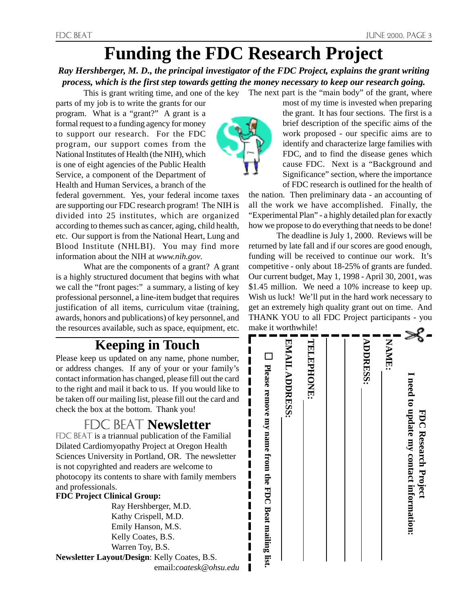# **Funding the FDC Research Project**

*Ray Hershberger, M. D., the principal investigator of the FDC Project, explains the grant writing process, which is the first step towards getting the money necessary to keep our research going.*

This is grant writing time, and one of the key The next part is the "main body" of the grant, where parts of my job is to write the grants for our program. What is a "grant?" A grant is a formal request to a funding agency for money to support our research. For the FDC program, our support comes from the National Institutes of Health (the NIH), which is one of eight agencies of the Public Health Service, a component of the Department of Health and Human Services, a branch of the

federal government. Yes, your federal income taxes are supporting our FDC research program! The NIH is divided into 25 institutes, which are organized according to themes such as cancer, aging, child health, etc. Our support is from the National Heart, Lung and Blood Institute (NHLBI). You may find more information about the NIH at *www.nih.gov*.

What are the components of a grant? A grant is a highly structured document that begins with what we call the "front pages:" a summary, a listing of key professional personnel, a line-item budget that requires justification of all items, curriculum vitae (training, awards, honors and publications) of key personnel, and the resources available, such as space, equipment, etc.

#### **Keeping in Touch**

Please keep us updated on any name, phone number, or address changes. If any of your or your family's contact information has changed, please fill out the card to the right and mail it back to us. If you would like to be taken off our mailing list, please fill out the card and check the box at the bottom. Thank you!

#### **FDC BEAT Newsletter**

FDC BEAT is a triannual publication of the Familial Dilated Cardiomyopathy Project at Oregon Health Sciences University in Portland, OR. The newsletter is not copyrighted and readers are welcome to photocopy its contents to share with family members and professionals.

#### **FDC Project Clinical Group:**

Ray Hershberger, M.D. Kathy Crispell, M.D. Emily Hanson, M.S. Kelly Coates, B.S. Warren Toy, B.S.

**Newsletter Layout/Design**: Kelly Coates, B.S. email:*coatesk@ohsu.edu*



most of my time is invested when preparing the grant. It has four sections. The first is a brief description of the specific aims of the work proposed - our specific aims are to identify and characterize large families with FDC, and to find the disease genes which cause FDC. Next is a "Background and Significance" section, where the importance of FDC research is outlined for the health of

the nation. Then preliminary data - an accounting of all the work we have accomplished. Finally, the "Experimental Plan" - a highly detailed plan for exactly how we propose to do everything that needs to be done!

The deadline is July 1, 2000. Reviews will be returned by late fall and if our scores are good enough, funding will be received to continue our work. It's competitive - only about 18-25% of grants are funded. Our current budget, May 1, 1998 - April 30, 2001, was \$1.45 million. We need a 10% increase to keep up. Wish us luck! We'll put in the hard work necessary to get an extremely high quality grant out on time. And THANK YOU to all FDC Project participants - you make it worthwhile!